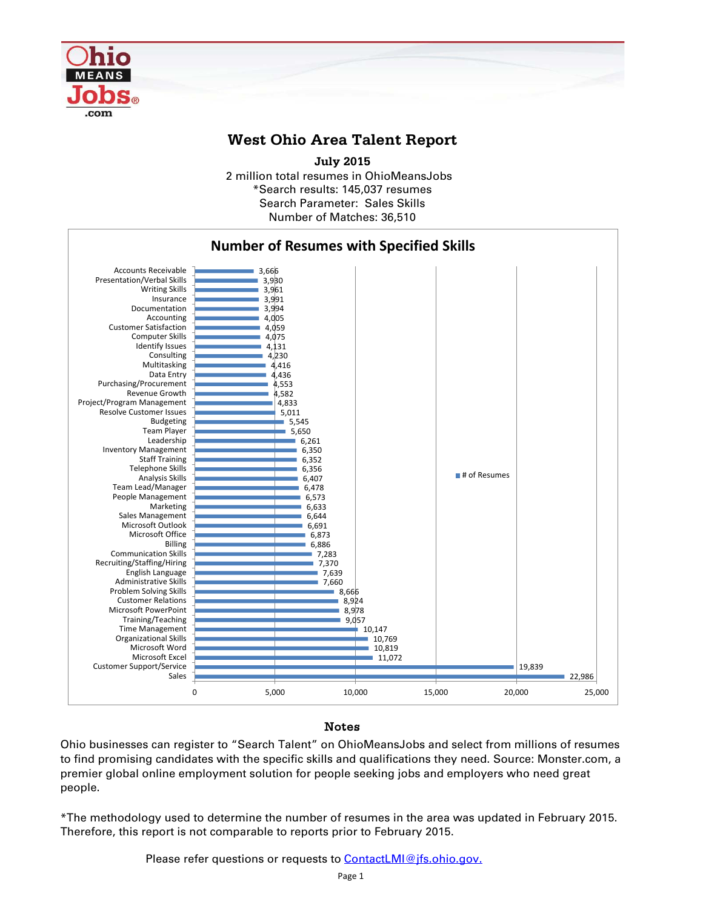

## **West Ohio Area Talent Report**

2 million total resumes in OhioMeansJobs \*Search results: 145,037 resumes Number of Matches: 36,510 **July 2015** Search Parameter: Sales Skills



## Notes

Ohio businesses can register to "Search Talent" on OhioMeansJobs and select from millions of resumes to find promising candidates with the specific skills and qualifications they need. Source: Monster.com, a premier global online employment solution for people seeking jobs and employers who need great people.

\*The methodology used to determine the number of resumes in the area was updated in February 2015. Therefore, this report is not comparable to reports prior to February 2015.

Please refer questions or requests to **ContactLMI@jfs.ohio.gov.**